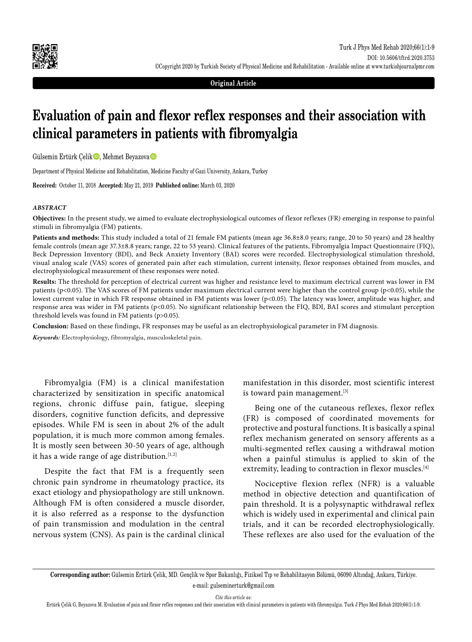

**Original Article**

# **Evaluation of pain and flexor reflex responses and their association with clinical parameters in patients with fibromyalgia**

Gülsemin Ertürk Çelik , Mehmet Beyazova

Department of Physical Medicine and Rehabilitation, Medicine Faculty of Gazi University, Ankara, Turkey

**Received:** October 11, 2018 **Accepted:** May 21, 2019 **Published online:** March 03, 2020

#### *ABSTRACT*

**Objectives:** In the present study, we aimed to evaluate electrophysiological outcomes of flexor reflexes (FR) emerging in response to painful stimuli in fibromyalgia (FM) patients.

**Patients and methods:** This study included a total of 21 female FM patients (mean age 36.8±8.0 years; range, 20 to 50 years) and 28 healthy female controls (mean age 37.3±8.8 years; range, 22 to 53 years). Clinical features of the patients, Fibromyalgia Impact Questionnaire (FIQ), Beck Depression Inventory (BDI), and Beck Anxiety Inventory (BAI) scores were recorded. Electrophysiological stimulation threshold, visual analog scale (VAS) scores of generated pain after each stimulation, current intensity, flexor responses obtained from muscles, and electrophysiological measurement of these responses were noted.

**Results:** The threshold for perception of electrical current was higher and resistance level to maximum electrical current was lower in FM patients (p<0.05). The VAS scores of FM patients under maximum electrical current were higher than the control group (p<0.05), while the lowest current value in which FR response obtained in FM patients was lower (p<0.05). The latency was lower, amplitude was higher, and response area was wider in FM patients (p<0.05). No significant relationship between the FIQ, BDI, BAI scores and stimulant perception threshold levels was found in FM patients (p>0.05).

**Conclusion:** Based on these findings, FR responses may be useful as an electrophysiological parameter in FM diagnosis.

*Keywords:* Electrophysiology, fibromyalgia, musculoskeletal pain.

Fibromyalgia (FM) is a clinical manifestation characterized by sensitization in specific anatomical regions, chronic diffuse pain, fatigue, sleeping disorders, cognitive function deficits, and depressive episodes. While FM is seen in about 2% of the adult population, it is much more common among females. It is mostly seen between 30-50 years of age, although it has a wide range of age distribution.<sup>[1,2]</sup>

Despite the fact that FM is a frequently seen chronic pain syndrome in rheumatology practice, its exact etiology and physiopathology are still unknown. Although FM is often considered a muscle disorder, it is also referred as a response to the dysfunction of pain transmission and modulation in the central nervous system (CNS). As pain is the cardinal clinical manifestation in this disorder, most scientific interest is toward pain management.<sup>[3]</sup>

Being one of the cutaneous reflexes, flexor reflex (FR) is composed of coordinated movements for protective and postural functions. It is basically a spinal reflex mechanism generated on sensory afferents as a multi-segmented reflex causing a withdrawal motion when a painful stimulus is applied to skin of the extremity, leading to contraction in flexor muscles.<sup>[4]</sup>

Nociceptive flexion reflex (NFR) is a valuable method in objective detection and quantification of pain threshold. It is a polysynaptic withdrawal reflex which is widely used in experimental and clinical pain trials, and it can be recorded electrophysiologically. These reflexes are also used for the evaluation of the

**Corresponding author:** Gülsemin Ertürk Çelik, MD. Gençlik ve Spor Bakanlığı, Fiziksel Tıp ve Rehabilitasyon Bölümü, 06090 Altındağ, Ankara, Türkiye. e-mail: gulseminerturk@gmail.com

*Cite this article as:*

Ertürk Çelik G, Beyazova M. Evaluation of pain and flexor reflex responses and their association with clinical parameters in patients with fibromyalgia. Turk J Phys Med Rehab 2020;66(1):1-9.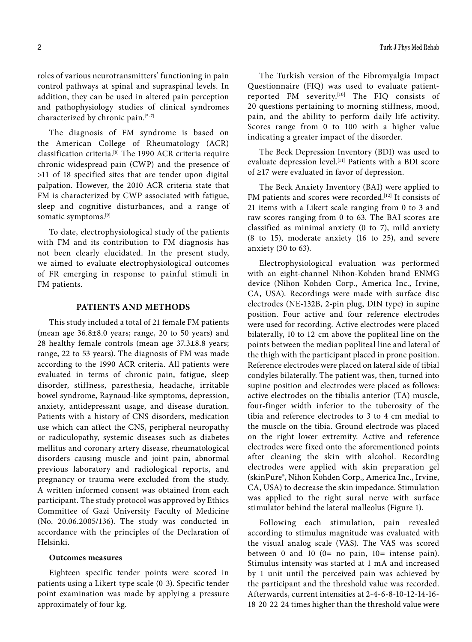roles of various neurotransmitters' functioning in pain control pathways at spinal and supraspinal levels. In addition, they can be used in altered pain perception and pathophysiology studies of clinical syndromes characterized by chronic pain.[5-7]

The diagnosis of FM syndrome is based on the American College of Rheumatology (ACR) classification criteria.[8] The 1990 ACR criteria require chronic widespread pain (CWP) and the presence of >11 of 18 specified sites that are tender upon digital palpation. However, the 2010 ACR criteria state that FM is characterized by CWP associated with fatigue, sleep and cognitive disturbances, and a range of somatic symptoms.<sup>[9]</sup>

To date, electrophysiological study of the patients with FM and its contribution to FM diagnosis has not been clearly elucidated. In the present study, we aimed to evaluate electrophysiological outcomes of FR emerging in response to painful stimuli in FM patients.

# **PATIENTS AND METHODS**

This study included a total of 21 female FM patients (mean age 36.8±8.0 years; range, 20 to 50 years) and 28 healthy female controls (mean age 37.3±8.8 years; range, 22 to 53 years). The diagnosis of FM was made according to the 1990 ACR criteria. All patients were evaluated in terms of chronic pain, fatigue, sleep disorder, stiffness, paresthesia, headache, irritable bowel syndrome, Raynaud-like symptoms, depression, anxiety, antidepressant usage, and disease duration. Patients with a history of CNS disorders, medication use which can affect the CNS, peripheral neuropathy or radiculopathy, systemic diseases such as diabetes mellitus and coronary artery disease, rheumatological disorders causing muscle and joint pain, abnormal previous laboratory and radiological reports, and pregnancy or trauma were excluded from the study. A written informed consent was obtained from each participant. The study protocol was approved by Ethics Committee of Gazi University Faculty of Medicine (No. 20.06.2005/136). The study was conducted in accordance with the principles of the Declaration of Helsinki.

## **Outcomes measures**

Eighteen specific tender points were scored in patients using a Likert-type scale (0-3). Specific tender point examination was made by applying a pressure approximately of four kg.

The Turkish version of the Fibromyalgia Impact Questionnaire (FIQ) was used to evaluate patientreported FM severity.[10] The FIQ consists of 20 questions pertaining to morning stiffness, mood, pain, and the ability to perform daily life activity. Scores range from 0 to 100 with a higher value indicating a greater impact of the disorder.

The Beck Depression Inventory (BDI) was used to evaluate depression level.<sup>[11]</sup> Patients with a BDI score of ≥17 were evaluated in favor of depression.

The Beck Anxiety Inventory (BAI) were applied to FM patients and scores were recorded.<sup>[12]</sup> It consists of 21 items with a Likert scale ranging from 0 to 3 and raw scores ranging from 0 to 63. The BAI scores are classified as minimal anxiety (0 to 7), mild anxiety (8 to 15), moderate anxiety (16 to 25), and severe anxiety (30 to 63).

Electrophysiological evaluation was performed with an eight-channel Nihon-Kohden brand ENMG device (Nihon Kohden Corp., America Inc., Irvine, CA, USA). Recordings were made with surface disc electrodes (NE-132B, 2-pin plug, DIN type) in supine position. Four active and four reference electrodes were used for recording. Active electrodes were placed bilaterally, 10 to 12-cm above the popliteal line on the points between the median popliteal line and lateral of the thigh with the participant placed in prone position. Reference electrodes were placed on lateral side of tibial condyles bilaterally. The patient was, then, turned into supine position and electrodes were placed as follows: active electrodes on the tibialis anterior (TA) muscle, four-finger width inferior to the tuberosity of the tibia and reference electrodes to 3 to 4 cm medial to the muscle on the tibia. Ground electrode was placed on the right lower extremity. Active and reference electrodes were fixed onto the aforementioned points after cleaning the skin with alcohol. Recording electrodes were applied with skin preparation gel (skinPure®, Nihon Kohden Corp., America Inc., Irvine, CA, USA) to decrease the skin impedance. Stimulation was applied to the right sural nerve with surface stimulator behind the lateral malleolus (Figure 1).

Following each stimulation, pain revealed according to stimulus magnitude was evaluated with the visual analog scale (VAS). The VAS was scored between 0 and 10 ( $0=$  no pain,  $10=$  intense pain). Stimulus intensity was started at 1 mA and increased by 1 unit until the perceived pain was achieved by the participant and the threshold value was recorded. Afterwards, current intensities at 2-4-6-8-10-12-14-16- 18-20-22-24 times higher than the threshold value were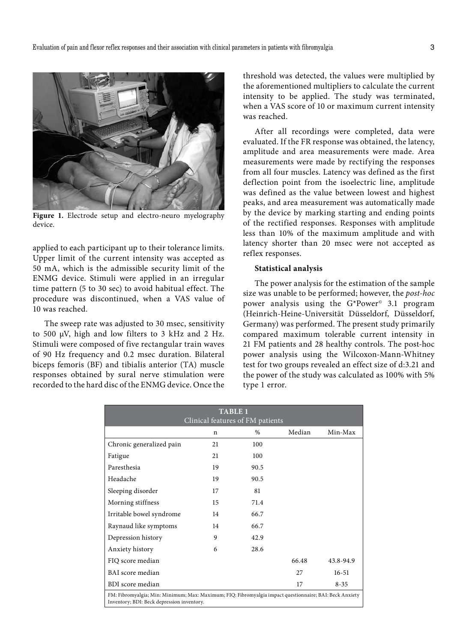

**Figure 1.** Electrode setup and electro-neuro myelography device.

applied to each participant up to their tolerance limits. Upper limit of the current intensity was accepted as 50 mA, which is the admissible security limit of the ENMG device. Stimuli were applied in an irregular time pattern (5 to 30 sec) to avoid habitual effect. The procedure was discontinued, when a VAS value of 10 was reached.

The sweep rate was adjusted to 30 msec, sensitivity to 500 µV, high and low filters to 3 kHz and 2 Hz. Stimuli were composed of five rectangular train waves of 90 Hz frequency and 0.2 msec duration. Bilateral biceps femoris (BF) and tibialis anterior (TA) muscle responses obtained by sural nerve stimulation were recorded to the hard disc of the ENMG device. Once the threshold was detected, the values were multiplied by the aforementioned multipliers to calculate the current intensity to be applied. The study was terminated, when a VAS score of 10 or maximum current intensity was reached.

After all recordings were completed, data were evaluated. If the FR response was obtained, the latency, amplitude and area measurements were made. Area measurements were made by rectifying the responses from all four muscles. Latency was defined as the first deflection point from the isoelectric line, amplitude was defined as the value between lowest and highest peaks, and area measurement was automatically made by the device by marking starting and ending points of the rectified responses. Responses with amplitude less than 10% of the maximum amplitude and with latency shorter than 20 msec were not accepted as reflex responses.

## **Statistical analysis**

The power analysis for the estimation of the sample size was unable to be performed; however, the *post-hoc* power analysis using the G\*Power<sup>®</sup> 3.1 program (Heinrich-Heine-Universität Düsseldorf, Düsseldorf, Germany) was performed. The present study primarily compared maximum tolerable current intensity in 21 FM patients and 28 healthy controls. The post-hoc power analysis using the Wilcoxon-Mann-Whitney test for two groups revealed an effect size of d:3.21 and the power of the study was calculated as 100% with 5% type 1 error.

| <b>TABLE 1</b>                                                                                                                                        |    |      |        |           |  |  |  |
|-------------------------------------------------------------------------------------------------------------------------------------------------------|----|------|--------|-----------|--|--|--|
| Clinical features of FM patients                                                                                                                      |    |      |        |           |  |  |  |
|                                                                                                                                                       | n  | $\%$ | Median | Min-Max   |  |  |  |
| Chronic generalized pain                                                                                                                              | 21 | 100  |        |           |  |  |  |
| Fatigue                                                                                                                                               | 21 | 100  |        |           |  |  |  |
| Paresthesia                                                                                                                                           | 19 | 90.5 |        |           |  |  |  |
| Headache                                                                                                                                              | 19 | 90.5 |        |           |  |  |  |
| Sleeping disorder                                                                                                                                     | 17 | 81   |        |           |  |  |  |
| Morning stiffness                                                                                                                                     | 15 | 71.4 |        |           |  |  |  |
| Irritable bowel syndrome                                                                                                                              | 14 | 66.7 |        |           |  |  |  |
| Raynaud like symptoms                                                                                                                                 | 14 | 66.7 |        |           |  |  |  |
| Depression history                                                                                                                                    | 9  | 42.9 |        |           |  |  |  |
| Anxiety history                                                                                                                                       | 6  | 28.6 |        |           |  |  |  |
| FIQ score median                                                                                                                                      |    |      | 66.48  | 43.8-94.9 |  |  |  |
| BAI score median                                                                                                                                      |    |      | 27     | $16 - 51$ |  |  |  |
| BDI score median                                                                                                                                      |    |      | 17     | $8 - 35$  |  |  |  |
| FM: Fibromyalgia; Min: Minimum; Max: Maximum; FIQ: Fibromyalgia impact questionnaire; BAI: Beck Anxiety<br>Inventory; BDI: Beck depression inventory. |    |      |        |           |  |  |  |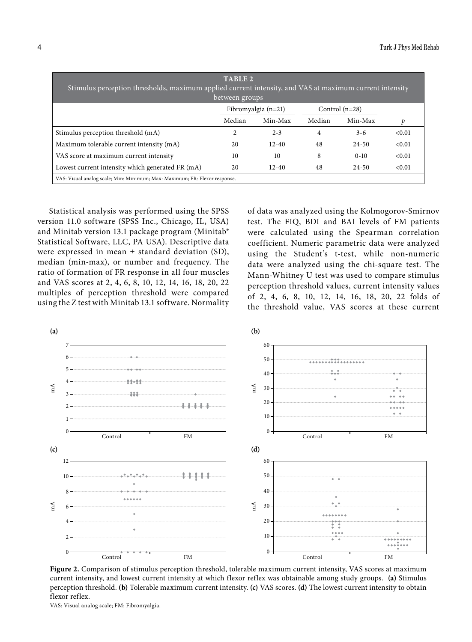| <b>TABLE 2</b><br>Stimulus perception thresholds, maximum applied current intensity, and VAS at maximum current intensity<br>between groups |        |                       |        |                  |        |  |  |
|---------------------------------------------------------------------------------------------------------------------------------------------|--------|-----------------------|--------|------------------|--------|--|--|
|                                                                                                                                             |        | Fibromyalgia $(n=21)$ |        | Control $(n=28)$ |        |  |  |
|                                                                                                                                             | Median | Min-Max               | Median | Min-Max          | p      |  |  |
| Stimulus perception threshold (mA)                                                                                                          | 2      | $2 - 3$               | 4      | $3 - 6$          | < 0.01 |  |  |
| Maximum tolerable current intensity (mA)                                                                                                    | 20     | $12 - 40$             | 48     | $24 - 50$        | < 0.01 |  |  |
| VAS score at maximum current intensity                                                                                                      | 10     | 10                    | 8      | $0-10$           | < 0.01 |  |  |
| Lowest current intensity which generated FR (mA)                                                                                            | 20     | $12 - 40$             | 48     | $24 - 50$        | < 0.01 |  |  |
| VAS: Visual analog scale; Min: Minimum; Max: Maximum; FR: Flexor response.                                                                  |        |                       |        |                  |        |  |  |

Statistical analysis was performed using the SPSS version 11.0 software (SPSS Inc., Chicago, IL, USA) and Minitab version 13.1 package program (Minitab® Statistical Software, LLC, PA USA). Descriptive data were expressed in mean ± standard deviation (SD), median (min-max), or number and frequency. The ratio of formation of FR response in all four muscles and VAS scores at 2, 4, 6, 8, 10, 12, 14, 16, 18, 20, 22 multiples of perception threshold were compared using the Z test with Minitab 13.1 software. Normality

of data was analyzed using the Kolmogorov-Smirnov test. The FIQ, BDI and BAI levels of FM patients were calculated using the Spearman correlation coefficient. Numeric parametric data were analyzed using the Student's t-test, while non-numeric data were analyzed using the chi-square test. The Mann-Whitney U test was used to compare stimulus perception threshold values, current intensity values of 2, 4, 6, 8, 10, 12, 14, 16, 18, 20, 22 folds of the threshold value, VAS scores at these current



**Figure 2.** Comparison of stimulus perception threshold, tolerable maximum current intensity, VAS scores at maximum current intensity, and lowest current intensity at which flexor reflex was obtainable among study groups. **(a)** Stimulus perception threshold. **(b)** Tolerable maximum current intensity. **(c)** VAS scores. **(d)** The lowest current intensity to obtain flexor reflex.

VAS: Visual analog scale; FM: Fibromyalgia.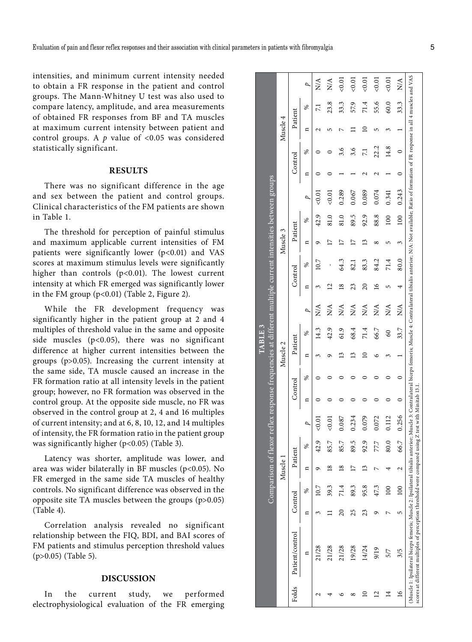intensities, and minimum current intensity needed to obtain a FR response in the patient and control groups. The Mann-Whitney U test was also used to compare latency, amplitude, and area measurements of obtained FR responses from BF and TA muscles at maximum current intensity between patient and control groups. A *p* value of <0.05 was considered statistically significant.

# **RESULTS**

There was no significant difference in the age and sex between the patient and control groups. Clinical characteristics of the FM patients are shown in Table 1.

The threshold for perception of painful stimulus and maximum applicable current intensities of FM patients were significantly lower (p<0.01) and VAS scores at maximum stimulus levels were significantly higher than controls  $(p<0.01)$ . The lowest current intensity at which FR emerged was significantly lower in the FM group (p<0.01) (Table 2, Figure 2).

While the FR development frequency was significantly higher in the patient group at 2 and 4 multiples of threshold value in the same and opposite side muscles (p<0.05), there was no significant difference at higher current intensities between the groups (p>0.05). Increasing the current intensity at the same side, TA muscle caused an increase in the FR formation ratio at all intensity levels in the patient group; however, no FR formation was observed in the control group. At the opposite side muscle, no FR was observed in the control group at 2, 4 and 16 multiples of current intensity; and at 6, 8, 10, 12, and 14 multiples of intensity, the FR formation ratio in the patient group was significantly higher (p<0.05) (Table 3).

Latency was shorter, amplitude was lower, and area was wider bilaterally in BF muscles (p<0.05). No FR emerged in the same side TA muscles of healthy controls. No significant difference was observed in the opposite site TA muscles between the groups (p>0.05) (Table 4).

Correlation analysis revealed no significant relationship between the FIQ, BDI, and BAI scores of FM patients and stimulus perception threshold values (p>0.05) (Table 5).

## **DISCUSSION**

In the current study, we performed electrophysiological evaluation of the FR emerging

|         |                                                                                                                                                                                                                                                                                                             |                 | Comparison of flexo: |                 |      | r retlex                 |         |   |          | ABLE3 |                |                 |                   |                      |      | response frequencies at different multiple current intensities between groups |         |                 |          |      |                                 |
|---------|-------------------------------------------------------------------------------------------------------------------------------------------------------------------------------------------------------------------------------------------------------------------------------------------------------------|-----------------|----------------------|-----------------|------|--------------------------|---------|---|----------|-------|----------------|-----------------|-------------------|----------------------|------|-------------------------------------------------------------------------------|---------|-----------------|----------|------|---------------------------------|
|         |                                                                                                                                                                                                                                                                                                             |                 |                      | Muscle 1        |      |                          |         |   | Muscle 2 |       |                |                 |                   | Muscle 3             |      |                                                                               |         |                 | Muscle 4 |      |                                 |
| Folds   | Patient/control                                                                                                                                                                                                                                                                                             | Control         |                      | Patient         |      |                          | Control |   | Patient  |       |                | Control         |                   | Patient              |      |                                                                               | Control |                 | Patient  |      |                                 |
|         | ¤                                                                                                                                                                                                                                                                                                           | n               | ℅                    | n               | ℅    |                          | ¤       | ℅ | ¤        | ℅     | $\overline{a}$ | ¤               | శ                 | ₫                    | ℅    | ρ                                                                             | ¤       | ℅               | ¤        | ℅    | D                               |
| ٢<br>₹  | 21/28                                                                                                                                                                                                                                                                                                       |                 | $-0.7$               | ᡡ               | 42.9 | 0.01                     |         |   |          | 14.3  | ≿∕             |                 |                   |                      | 42.9 |                                                                               |         |                 |          |      | $\frac{\mathbf{A}}{\mathbf{A}}$ |
|         | 21/28                                                                                                                                                                                                                                                                                                       |                 | 39.3                 | $\overline{8}$  | 85.7 | 0.01                     |         |   |          | 42.9  | ₹              |                 |                   |                      |      | 50.01                                                                         |         |                 |          | 23.8 | $\mathbb{N}$                    |
|         | 21/28                                                                                                                                                                                                                                                                                                       | $\overline{20}$ | 71.4                 | $\overline{18}$ | 85.7 | 0.087                    |         |   |          | 61.9  | ≿∕             | $\frac{8}{2}$   | 64.3              |                      | 81.0 | 0.289                                                                         |         | 3.6             |          | 33.3 | 0.01                            |
|         | 19/28                                                                                                                                                                                                                                                                                                       | 25              | 89.3                 | $\overline{17}$ | 89.5 | 0.234                    |         |   |          | 68.4  | NA<br>Z        | 23              | $\overline{32.1}$ |                      | 89.5 | 0.067                                                                         |         | 3.6             |          | 57.9 | < 0.01                          |
|         | 14/24                                                                                                                                                                                                                                                                                                       | 23              | 95.8                 | 13              | 92.9 | 0.079                    |         |   |          | 71.4  | ₹              | $\overline{20}$ | 83.3              | $\tilde{\mathbf{c}}$ | 92.9 | 0.089                                                                         |         | $\overline{71}$ |          | 71.4 | 0.01                            |
| 2       | 9/19                                                                                                                                                                                                                                                                                                        | ᡡ               | 47.3                 | ↖               | 77,7 | 0.072                    |         |   |          | 66.7  | ≿∕             | 91              | 84.2              |                      | 88.8 | 0.074                                                                         |         | 22.2            |          | 55.6 | 0.01                            |
| $^{14}$ | 5/7                                                                                                                                                                                                                                                                                                         | L               | 100                  |                 | 80.0 | 0.112                    |         |   |          | 8     | NA             | ι∩              | 71.4              |                      | 100  | 0.341                                                                         |         | 14.8            |          | 60.0 | 0.01                            |
| $\geq$  | 3/5                                                                                                                                                                                                                                                                                                         | 5               | 100                  | 2               | 66.7 | 0.256                    |         |   |          | 33.7  | $\overline{N}$ |                 | 80.0              | 3                    | 100  | 0.243                                                                         |         | $\circ$         |          | 33.3 | NA                              |
|         | (Muscle 1: Ipsilateral biceps femoris; Muscle 2: Ipsilateral tibialis anterior; Muscle 3: Contralateral biceps femoris; Muscle 4: Contralateral tibialis anterior; N/A: Not available; Ratio of formation of FR response in al<br>scores at different multiples of perception threshold were compared using |                 |                      |                 |      | Z test with Minitab 13.1 |         |   |          |       |                |                 |                   |                      |      |                                                                               |         |                 |          |      |                                 |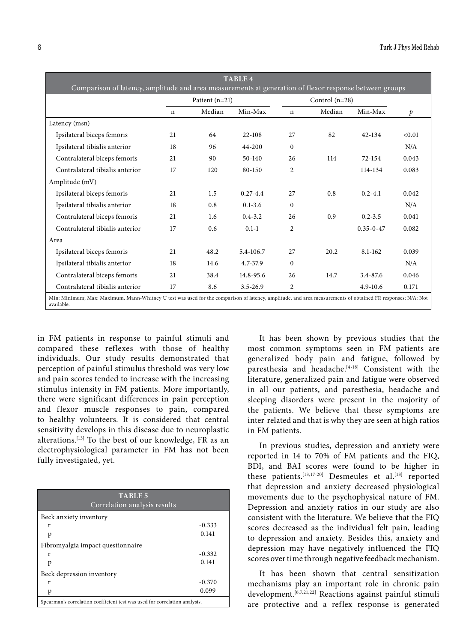| <b>TABLE 4</b><br>Comparison of latency, amplitude and area measurements at generation of flexor response between groups                                                  |             |                  |              |                |                  |                 |               |
|---------------------------------------------------------------------------------------------------------------------------------------------------------------------------|-------------|------------------|--------------|----------------|------------------|-----------------|---------------|
|                                                                                                                                                                           |             | Patient $(n=21)$ |              |                | Control $(n=28)$ |                 |               |
|                                                                                                                                                                           | $\mathbf n$ | Median           | Min-Max      | n              | Median           | Min-Max         | $\mathcal{P}$ |
| Latency (msn)                                                                                                                                                             |             |                  |              |                |                  |                 |               |
| Ipsilateral biceps femoris                                                                                                                                                | 21          | 64               | 22-108       | 27             | 82               | 42-134          | < 0.01        |
| Ipsilateral tibialis anterior                                                                                                                                             | 18          | 96               | 44-200       | $\mathbf{0}$   |                  |                 | N/A           |
| Contralateral biceps femoris                                                                                                                                              | 21          | 90               | 50-140       | 26             | 114              | $72 - 154$      | 0.043         |
| Contralateral tibialis anterior                                                                                                                                           | 17          | 120              | 80-150       | $\overline{2}$ |                  | 114-134         | 0.083         |
| Amplitude (mV)                                                                                                                                                            |             |                  |              |                |                  |                 |               |
| Ipsilateral biceps femoris                                                                                                                                                | 21          | 1.5              | $0.27 - 4.4$ | 27             | 0.8              | $0.2 - 4.1$     | 0.042         |
| Ipsilateral tibialis anterior                                                                                                                                             | 18          | 0.8              | $0.1 - 3.6$  | $\Omega$       |                  |                 | N/A           |
| Contralateral biceps femoris                                                                                                                                              | 21          | 1.6              | $0.4 - 3.2$  | 26             | 0.9              | $0.2 - 3.5$     | 0.041         |
| Contralateral tibialis anterior                                                                                                                                           | 17          | 0.6              | $0.1 - 1$    | $\overline{2}$ |                  | $0.35 - 0 - 47$ | 0.082         |
| Area                                                                                                                                                                      |             |                  |              |                |                  |                 |               |
| Ipsilateral biceps femoris                                                                                                                                                | 2.1         | 48.2             | 5.4-106.7    | 27             | 20.2             | $8.1 - 162$     | 0.039         |
| Ipsilateral tibialis anterior                                                                                                                                             | 18          | 14.6             | 4.7-37.9     | $\Omega$       |                  |                 | N/A           |
| Contralateral biceps femoris                                                                                                                                              | 21          | 38.4             | 14.8-95.6    | 26             | 14.7             | 3.4-87.6        | 0.046         |
| Contralateral tibialis anterior                                                                                                                                           | 17          | 8.6              | $3.5 - 26.9$ | $\overline{2}$ |                  | $4.9 - 10.6$    | 0.171         |
| Min: Minimum; Max: Maximum. Mann-Whitney U test was used for the comparison of latency, amplitude, and area measurements of obtained FR responses; N/A: Not<br>available. |             |                  |              |                |                  |                 |               |

in FM patients in response to painful stimuli and compared these reflexes with those of healthy individuals. Our study results demonstrated that perception of painful stimulus threshold was very low and pain scores tended to increase with the increasing stimulus intensity in FM patients. More importantly, there were significant differences in pain perception and flexor muscle responses to pain, compared to healthy volunteers. It is considered that central sensitivity develops in this disease due to neuroplastic alterations.[13] To the best of our knowledge, FR as an electrophysiological parameter in FM has not been fully investigated, yet.

| <b>TABLE 5</b><br>Correlation analysis results                             |          |  |  |  |  |  |
|----------------------------------------------------------------------------|----------|--|--|--|--|--|
| Beck anxiety inventory                                                     |          |  |  |  |  |  |
| r                                                                          | $-0.333$ |  |  |  |  |  |
| p                                                                          | 0.141    |  |  |  |  |  |
| Fibromyalgia impact questionnaire                                          |          |  |  |  |  |  |
| r                                                                          | $-0.332$ |  |  |  |  |  |
| p                                                                          | 0.141    |  |  |  |  |  |
| Beck depression inventory                                                  |          |  |  |  |  |  |
| r                                                                          | $-0.370$ |  |  |  |  |  |
| p                                                                          | 0.099    |  |  |  |  |  |
| Spearman's correlation coefficient test was used for correlation analysis. |          |  |  |  |  |  |

It has been shown by previous studies that the most common symptoms seen in FM patients are generalized body pain and fatigue, followed by paresthesia and headache.<sup>[4-18]</sup> Consistent with the literature, generalized pain and fatigue were observed in all our patients, and paresthesia, headache and sleeping disorders were present in the majority of the patients. We believe that these symptoms are inter-related and that is why they are seen at high ratios in FM patients.

In previous studies, depression and anxiety were reported in 14 to 70% of FM patients and the FIQ, BDI, and BAI scores were found to be higher in these patients.<sup>[13,17-20]</sup> Desmeules et al.<sup>[13]</sup> reported that depression and anxiety decreased physiological movements due to the psychophysical nature of FM. Depression and anxiety ratios in our study are also consistent with the literature. We believe that the FIQ scores decreased as the individual felt pain, leading to depression and anxiety. Besides this, anxiety and depression may have negatively influenced the FIQ scores over time through negative feedback mechanism.

It has been shown that central sensitization mechanisms play an important role in chronic pain development.[6,7,21,22] Reactions against painful stimuli are protective and a reflex response is generated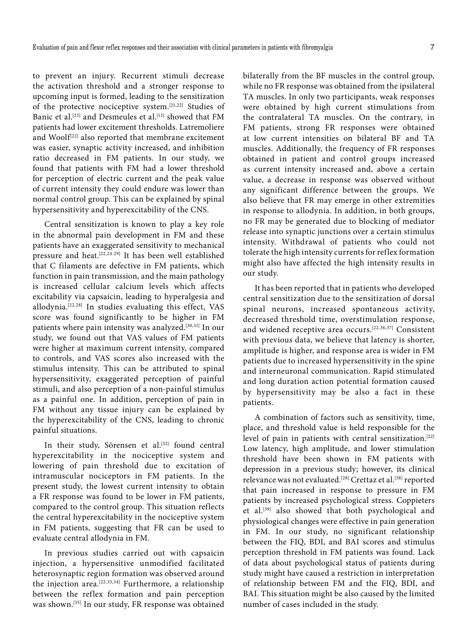to prevent an injury. Recurrent stimuli decrease the activation threshold and a stronger response to upcoming input is formed, leading to the sensitization of the protective nociceptive system.[21,22] Studies of Banic et al.<sup>[23]</sup> and Desmeules et al.<sup>[13]</sup> showed that FM patients had lower excitement thresholds. Latremoliere and Woolf<sup>[22]</sup> also reported that membrane excitement was easier, synaptic activity increased, and inhibition ratio decreased in FM patients. In our study, we found that patients with FM had a lower threshold for perception of electric current and the peak value of current intensity they could endure was lower than normal control group. This can be explained by spinal hypersensitivity and hyperexcitability of the CNS.

Central sensitization is known to play a key role in the abnormal pain development in FM and these patients have an exaggerated sensitivity to mechanical pressure and heat.[22,24-29] It has been well established that C filaments are defective in FM patients, which function in pain transmission, and the main pathology is increased cellular calcium levels which affects excitability via capsaicin, leading to hyperalgesia and allodynia.[22,28] In studies evaluating this effect, VAS score was found significantly to be higher in FM patients where pain intensity was analyzed.[30,31] In our study, we found out that VAS values of FM patients were higher at maximum current intensity, compared to controls, and VAS scores also increased with the stimulus intensity. This can be attributed to spinal hypersensitivity, exaggerated perception of painful stimuli, and also perception of a non-painful stimulus as a painful one. In addition, perception of pain in FM without any tissue injury can be explained by the hyperexcitability of the CNS, leading to chronic painful situations.

In their study, Sörensen et al.<sup>[32]</sup> found central hyperexcitability in the nociceptive system and lowering of pain threshold due to excitation of intramuscular nociceptors in FM patients. In the present study, the lowest current intensity to obtain a FR response was found to be lower in FM patients, compared to the control group. This situation reflects the central hyperexcitability in the nociceptive system in FM patients, suggesting that FR can be used to evaluate central allodynia in FM.

In previous studies carried out with capsaicin injection, a hypersensitive unmodified facilitated heterosynaptic region formation was observed around the injection area.[22,33,34] Furthermore, a relationship between the reflex formation and pain perception was shown.[35] In our study, FR response was obtained bilaterally from the BF muscles in the control group, while no FR response was obtained from the ipsilateral TA muscles. In only two participants, weak responses were obtained by high current stimulations from the contralateral TA muscles. On the contrary, in FM patients, strong FR responses were obtained at low current intensities on bilateral BF and TA muscles. Additionally, the frequency of FR responses obtained in patient and control groups increased as current intensity increased and, above a certain value, a decrease in response was observed without any significant difference between the groups. We also believe that FR may emerge in other extremities in response to allodynia. In addition, in both groups, no FR may be generated due to blocking of mediator release into synaptic junctions over a certain stimulus intensity. Withdrawal of patients who could not tolerate the high intensity currents for reflex formation might also have affected the high intensity results in our study.

It has been reported that in patients who developed central sensitization due to the sensitization of dorsal spinal neurons, increased spontaneous activity, decreased threshold time, overstimulation response, and widened receptive area occurs.[22,36,37] Consistent with previous data, we believe that latency is shorter, amplitude is higher, and response area is wider in FM patients due to increased hypersensitivity in the spine and interneuronal communication. Rapid stimulated and long duration action potential formation caused by hypersensitivity may be also a fact in these patients.

A combination of factors such as sensitivity, time, place, and threshold value is held responsible for the level of pain in patients with central sensitization.<sup>[22]</sup> Low latency, high amplitude, and lower stimulation threshold have been shown in FM patients with depression in a previous study; however, its clinical relevance was not evaluated.<sup>[28]</sup> Crettaz et al.<sup>[38]</sup> reported that pain increased in response to pressure in FM patients by increased psychological stress. Coppieters et al.[39] also showed that both psychological and physiological changes were effective in pain generation in FM. In our study, no significant relationship between the FIQ, BDI, and BAI scores and stimulus perception threshold in FM patients was found. Lack of data about psychological status of patients during study might have caused a restriction in interpretation of relationship between FM and the FIQ, BDI, and BAI. This situation might be also caused by the limited number of cases included in the study.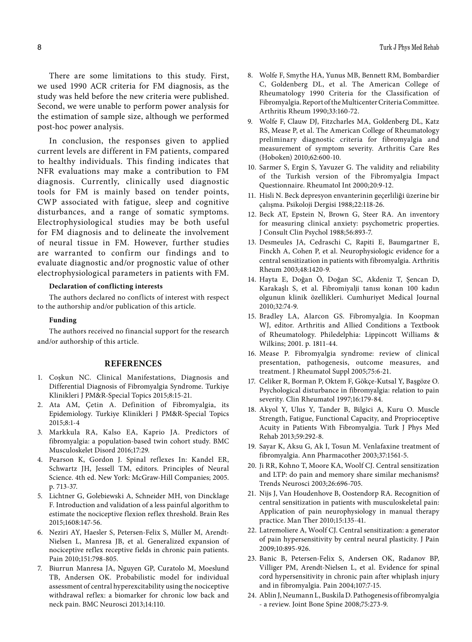There are some limitations to this study. First, we used 1990 ACR criteria for FM diagnosis, as the study was held before the new criteria were published. Second, we were unable to perform power analysis for the estimation of sample size, although we performed post-hoc power analysis.

In conclusion, the responses given to applied current levels are different in FM patients, compared to healthy individuals. This finding indicates that NFR evaluations may make a contribution to FM diagnosis. Currently, clinically used diagnostic tools for FM is mainly based on tender points, CWP associated with fatigue, sleep and cognitive disturbances, and a range of somatic symptoms. Electrophysiological studies may be both useful for FM diagnosis and to delineate the involvement of neural tissue in FM. However, further studies are warranted to confirm our findings and to evaluate diagnostic and/or prognostic value of other electrophysiological parameters in patients with FM.

#### **Declaration of conflicting interests**

The authors declared no conflicts of interest with respect to the authorship and/or publication of this article.

## **Funding**

The authors received no financial support for the research and/or authorship of this article.

#### **REFERENCES**

- 1. Coşkun NC. Clinical Manifestations, Diagnosis and Differential Diagnosis of Fibromyalgia Syndrome. Turkiye Klinikleri J PM&R-Special Topics 2015;8:15-21.
- 2. Ata AM, Çetin A. Definition of Fibromyalgia, its Epidemiology. Turkiye Klinikleri J PM&R-Special Topics 2015;8:1-4
- 3. Markkula RA, Kalso EA, Kaprio JA. Predictors of fibromyalgia: a population-based twin cohort study. BMC Musculoskelet Disord 2016;17:29.
- 4. Pearson K, Gordon J. Spinal reflexes In: Kandel ER, Schwartz JH, Jessell TM, editors. Principles of Neural Science. 4th ed. New York: McGraw-Hill Companies; 2005. p. 713-37.
- 5. Lichtner G, Golebiewski A, Schneider MH, von Dincklage F. Introduction and validation of a less painful algorithm to estimate the nociceptive flexion reflex threshold. Brain Res 2015;1608:147-56.
- 6. Neziri AY, Haesler S, Petersen-Felix S, Müller M, Arendt-Nielsen L, Manresa JB, et al. Generalized expansion of nociceptive reflex receptive fields in chronic pain patients. Pain 2010;151:798-805.
- 7. Biurrun Manresa JA, Nguyen GP, Curatolo M, Moeslund TB, Andersen OK. Probabilistic model for individual assessment of central hyperexcitability using the nociceptive withdrawal reflex: a biomarker for chronic low back and neck pain. BMC Neurosci 2013;14:110.
- 8. Wolfe F, Smythe HA, Yunus MB, Bennett RM, Bombardier C, Goldenberg DL, et al. The American College of Rheumatology 1990 Criteria for the Classification of Fibromyalgia. Report of the Multicenter Criteria Committee. Arthritis Rheum 1990;33:160-72.
- 9. Wolfe F, Clauw DJ, Fitzcharles MA, Goldenberg DL, Katz RS, Mease P, et al. The American College of Rheumatology preliminary diagnostic criteria for fibromyalgia and measurement of symptom severity. Arthritis Care Res (Hoboken) 2010;62:600-10.
- 10. Sarmer S, Ergin S, Yavuzer G. The validity and reliability of the Turkish version of the Fibromyalgia Impact Questionnaire. Rheumatol Int 2000;20:9-12.
- 11. Hisli N. Beck depresyon envanterinin geçerliliği üzerine bir çalışma. Psikoloji Dergisi 1988;22:118-26.
- 12. Beck AT, Epstein N, Brown G, Steer RA. An inventory for measuring clinical anxiety: psychometric properties. J Consult Clin Psychol 1988;56:893-7.
- 13. Desmeules JA, Cedraschi C, Rapiti E, Baumgartner E, Finckh A, Cohen P, et al. Neurophysiologic evidence for a central sensitization in patients with fibromyalgia. Arthritis Rheum 2003;48:1420-9.
- 14. Hayta E, Doğan Ö, Doğan SC, Akdeniz T, Şencan D, Karakaşlı S, et al. Fibromiyalji tanısı konan 100 kadın olgunun klinik özellikleri. Cumhuriyet Medical Journal 2010;32:74-9.
- 15. Bradley LA, Alarcon GS. Fibromyalgia. In Koopman WJ, editor. Arthritis and Allied Conditions a Textbook of Rheumatology. Philedelphia: Lippincott Williams & Wilkins; 2001. p. 1811-44.
- 16. Mease P. Fibromyalgia syndrome: review of clinical presentation, pathogenesis, outcome measures, and treatment. J Rheumatol Suppl 2005;75:6-21.
- 17. Celiker R, Borman P, Oktem F, Gökçe-Kutsal Y, Başgöze O. Psychological disturbance in fibromyalgia: relation to pain severity. Clin Rheumatol 1997;16:179-84.
- 18. Akyol Y, Ulus Y, Tander B, Bilgici A, Kuru O. Muscle Strength, Fatigue, Functional Capacity, and Proprioceptive Acuity in Patients With Fibromyalgia. Turk J Phys Med Rehab 2013;59:292-8.
- 19. Sayar K, Aksu G, Ak I, Tosun M. Venlafaxine treatment of fibromyalgia. Ann Pharmacother 2003;37:1561-5.
- 20. Ji RR, Kohno T, Moore KA, Woolf CJ. Central sensitization and LTP: do pain and memory share similar mechanisms? Trends Neurosci 2003;26:696-705.
- 21. Nijs J, Van Houdenhove B, Oostendorp RA. Recognition of central sensitization in patients with musculoskeletal pain: Application of pain neurophysiology in manual therapy practice. Man Ther 2010;15:135-41.
- 22. Latremoliere A, Woolf CJ. Central sensitization: a generator of pain hypersensitivity by central neural plasticity. J Pain 2009;10:895-926.
- 23. Banic B, Petersen-Felix S, Andersen OK, Radanov BP, Villiger PM, Arendt-Nielsen L, et al. Evidence for spinal cord hypersensitivity in chronic pain after whiplash injury and in fibromyalgia. Pain 2004;107:7-15.
- 24. Ablin J, Neumann L, Buskila D. Pathogenesis of fibromyalgia - a review. Joint Bone Spine 2008;75:273-9.